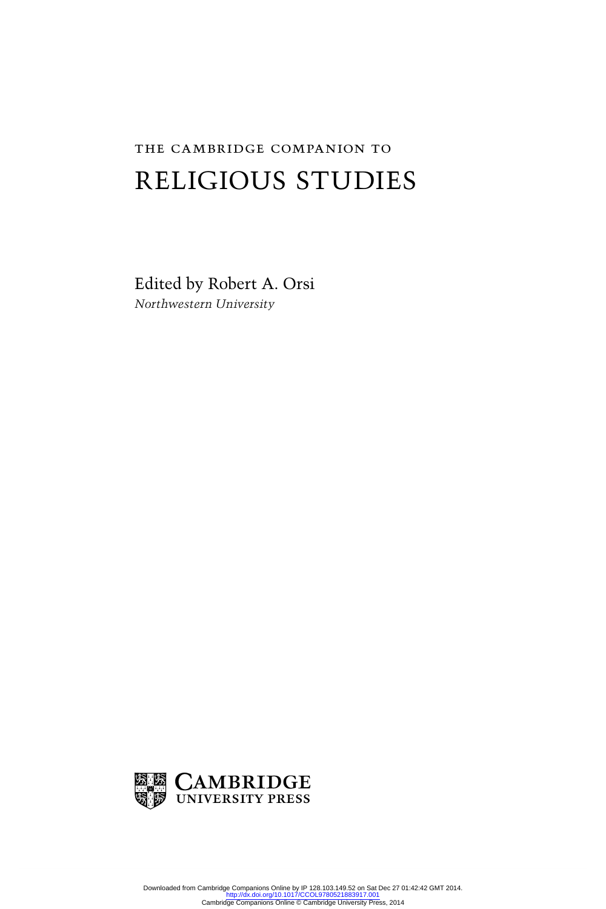# The Cambridge Companion to RELIGIOUS STUDIES

Edited by Robert A. Orsi *Northwestern University* 

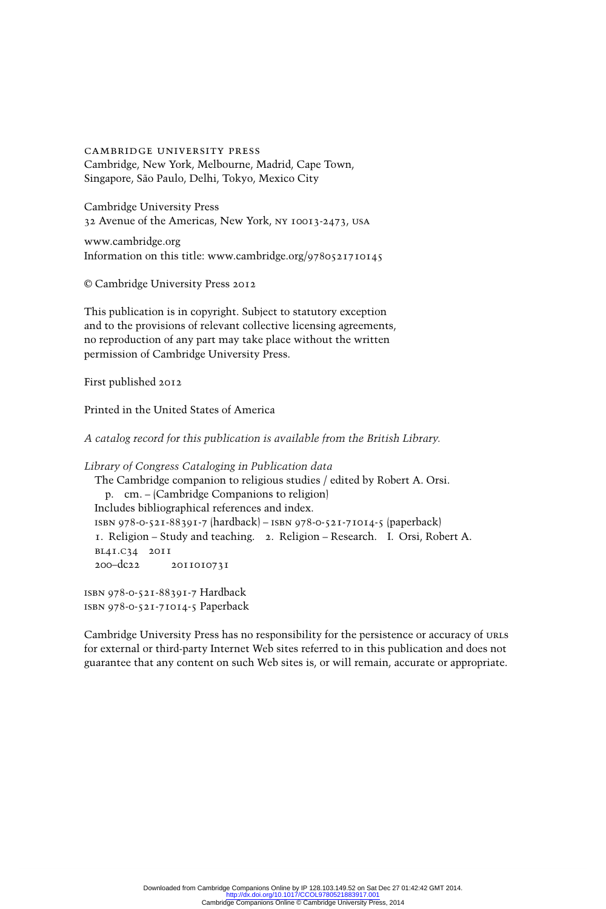cambridge university press Cambridge, New York, Melbourne, Madrid, Cape Town, Singapore, São Paulo, Delhi, Tokyo, Mexico City

Cambridge University Press 32 Avenue of the Americas, New York, ny 10013-2473, usa

www.cambridge.org Information on this title: www.cambridge.org/9780521710145

© Cambridge University Press 2012

This publication is in copyright. Subject to statutory exception and to the provisions of relevant collective licensing agreements, no reproduction of any part may take place without the written permission of Cambridge University Press.

First published 2012

Printed in the United States of America

*A catalog record for this publication is available from the British Library.* 

```
Library of Congress Cataloging in Publication data 
 The Cambridge companion to religious studies / edited by Robert A. Orsi. 
     p. cm. – (Cambridge Companions to religion) 
  Includes bibliographical references and index. 
  isbn 978-0-521-88391-7 (hardback) – isbn 978-0-521-71014-5 (paperback) 
  1. Religion – Study and teaching. 2. Religion – Research. I. Orsi, Robert A. 
  bl41.c34 2011 
  200–dc22 2011010731 
isbn 978-0-521-88391-7 Hardback 
isbn 978-0-521-71014-5 Paperback
```
Cambridge University Press has no responsibility for the persistence or accuracy of urls for external or third-party Internet Web sites referred to in this publication and does not guarantee that any content on such Web sites is, or will remain, accurate or appropriate.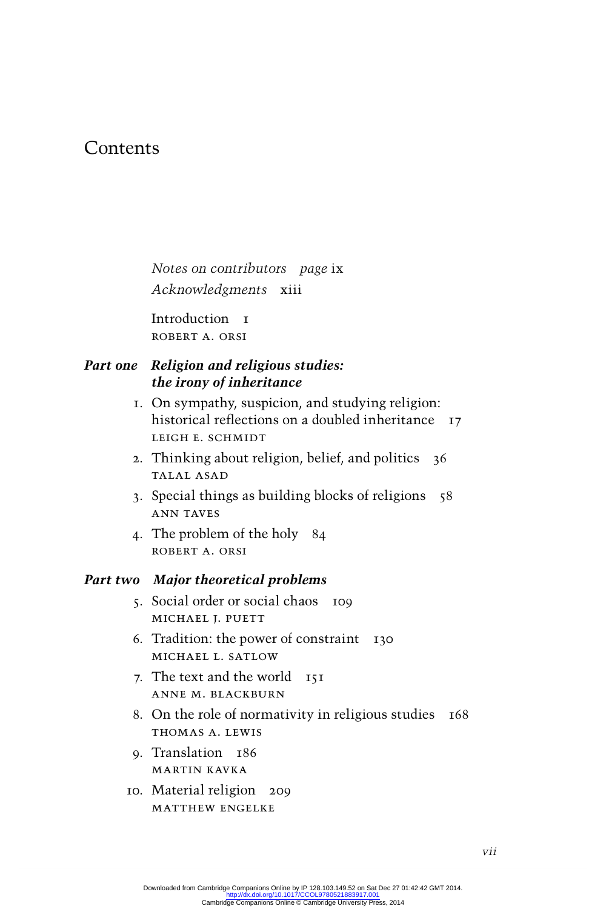# **Contents**

*Notes on contributors page* ix *Acknowledgments* xiii

Introduction I Robert A. Orsi

# *Part one Religion and religious studies: the irony of inheritance*

- 1. On sympathy, suspicion, and studying religion: historical reflections on a doubled inheritance 17 Leigh E. Schmidt
- 2. Thinking about religion, belief, and politics 36 Talal Asad
- 3. Special things as building blocks of religions 58 Ann Taves
- 4. The problem of the holy 84 Robert A. Orsi

# *Part two Major theoretical problems*

- 5. Social order or social chaos 109 MICHAEL I. PUETT
- 6. Tradition: the power of constraint 130 Michael L. Satlow
- 7. The text and the world 151 Anne M. Blackburn
- 8. On the role of normativity in religious studies 168 Thomas A. Lewis
- 9. Translation 186 Martin Kavka
- 10. Material religion 209 Matthew Engelke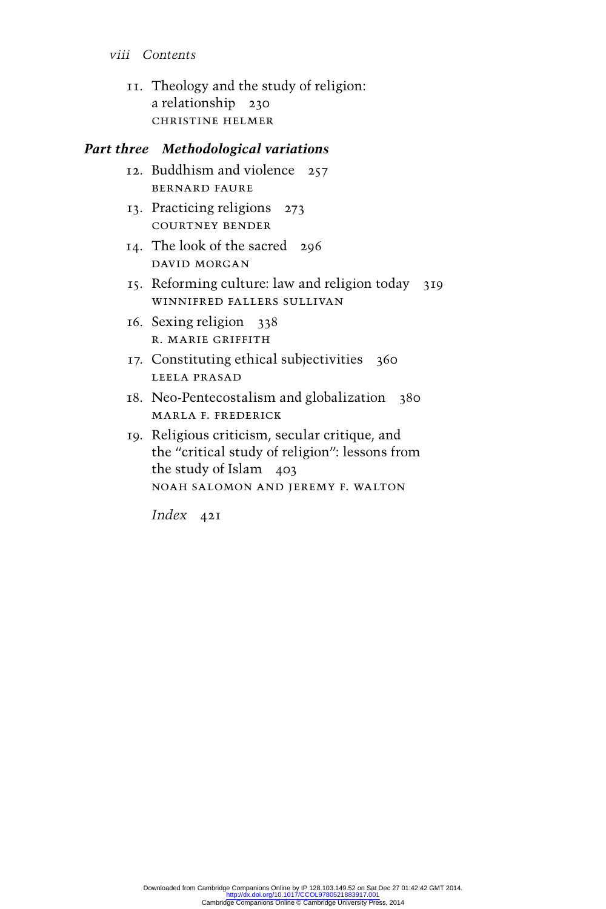- *viii Contents*
	- 11. Theology and the study of religion: a relationship 230 Christine Helmer

# *Part three Methodological variations*

- 12. Buddhism and violence 257 Bernard Faure
- 13. Practicing religions 273 Courtney Bender
- 14. The look of the sacred 296 David Morgan
- 15. Reforming culture: law and religion today 319 Winnifred Fallers Sullivan
- 16. Sexing religion 338 R. Marie Griffith
- 17. Constituting ethical subjectivities 360 Leela Prasad
- 18. Neo-Pentecostalism and globalization 380 Marla F. Frederick
- 19. Religious criticism, secular critique, and the "critical study of religion": lessons from the study of Islam 403 NOAH SALOMON AND JEREMY F. WALTON

*Index* 421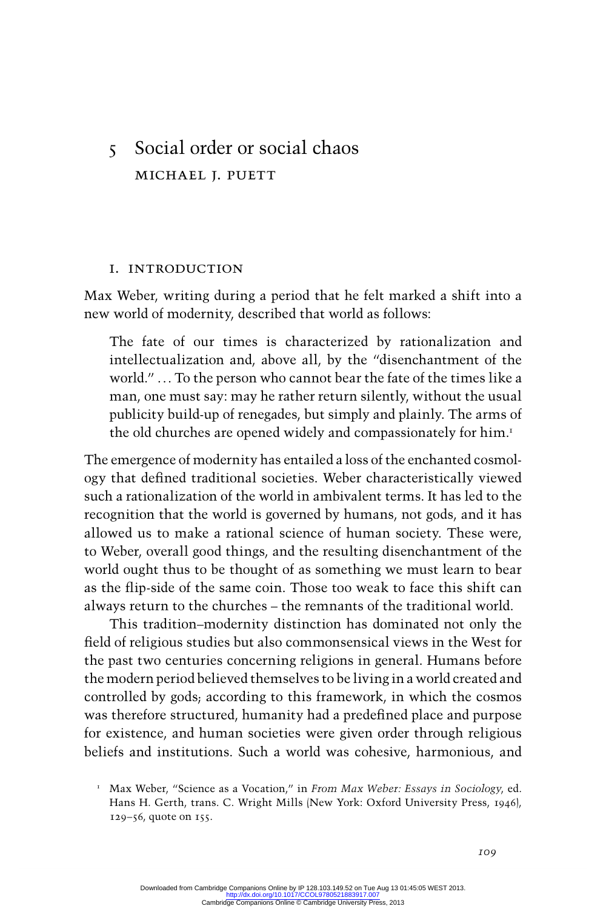# 5 Social order or social chaos Michael J. Puett

#### I. Introduction

Max Weber, writing during a period that he felt marked a shift into a new world of modernity, described that world as follows:

The fate of our times is characterized by rationalization and intellectualization and, above all, by the "disenchantment of the world."... To the person who cannot bear the fate of the times like a man, one must say: may he rather return silently, without the usual publicity build-up of renegades, but simply and plainly. The arms of the old churches are opened widely and compassionately for him.<sup>1</sup>

The emergence of modernityhas entailed a loss of the enchanted cosmology that defined traditional societies. Weber characteristically viewed such a rationalization of the world in ambivalent terms. It has led to the recognition that the world is governed by humans, not gods, and it has allowed us to make a rational science of human society. These were, to Weber, overall good things, and the resulting disenchantment of the world ought thus to be thought of as something we must learn to bear as the flip-side of the same coin. Those too weak to face this shift can always return to the churches – the remnants of the traditional world.

This tradition–modernity distinction has dominated not only the field of religious studies but also commonsensical views in the West for the past two centuries concerning religions in general. Humans before the modern periodbelieved themselves to be living in a world created and controlled by gods; according to this framework, in which the cosmos was therefore structured, humanity had a predefined place and purpose for existence, and human societies were given order through religious beliefs and institutions. Such a world was cohesive, harmonious, and

 <sup>1</sup> Max Weber, "Science as a Vocation," in *From Max Weber: Essays in Sociology*, ed. Hans H. Gerth, trans. C. Wright Mills (New York: Oxford University Press, 1946), 129–56, quote on 155.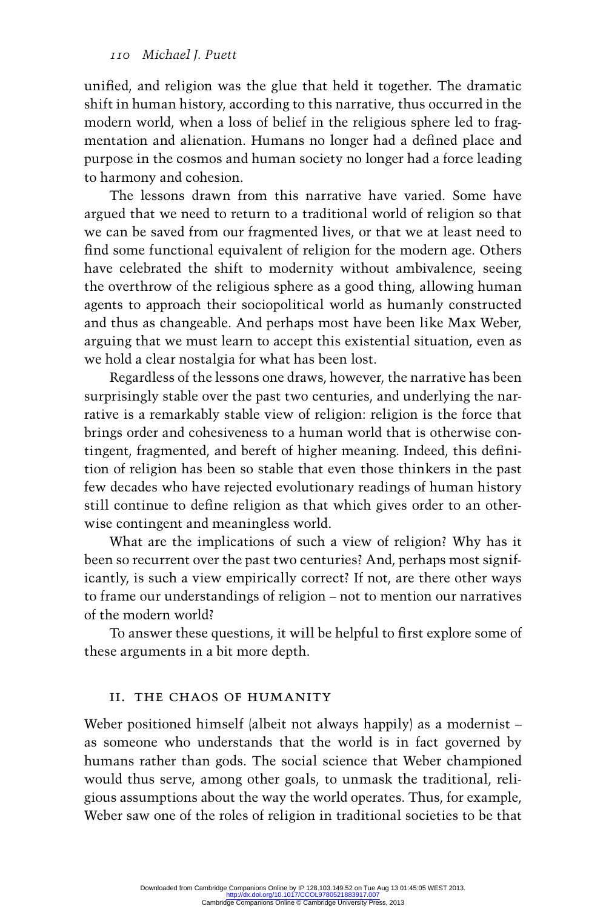unified, and religion was the glue that held it together. The dramatic shift in human history, according to this narrative, thus occurred in the modern world, when a loss of belief in the religious sphere led to fragmentation and alienation. Humans no longer had a defined place and purpose in the cosmos and human society no longer had a force leading to harmony and cohesion.

The lessons drawn from this narrative have varied. Some have argued that we need to return to a traditional world of religion so that we can be saved from our fragmented lives, or that we at least need to find some functional equivalent of religion for the modern age. Others have celebrated the shift to modernity without ambivalence, seeing the overthrow of the religious sphere as a good thing, allowing human agents to approach their sociopolitical world as humanly constructed and thus as changeable. And perhaps most have been like Max Weber, arguing that we must learn to accept this existential situation, even as we hold a clear nostalgia for what has been lost.

Regardless of the lessons one draws, however, the narrative has been surprisingly stable over the past two centuries, and underlying the narrative is a remarkably stable view of religion: religion is the force that brings order and cohesiveness to a human world that is otherwise contingent, fragmented, and bereft of higher meaning. Indeed, this definition of religion has been so stable that even those thinkers in the past few decades who have rejected evolutionary readings of human history still continue to define religion as that which gives order to an otherwise contingent and meaningless world.

What are the implications of such a view of religion? Why has it been so recurrent over the past two centuries? And, perhaps most significantly, is such a view empirically correct? If not, are there other ways to frame our understandings of religion – not to mention our narratives of the modern world?

To answer these questions, it will be helpful to first explore some of these arguments in a bit more depth.

# II. The Chaos of Humanity

Weber positioned himself (albeit not always happily) as a modernist – as someone who understands that the world is in fact governed by humans rather than gods. The social science that Weber championed would thus serve, among other goals, to unmask the traditional, religious assumptions about the way the world operates. Thus, for example, Weber saw one of the roles of religion in traditional societies to be that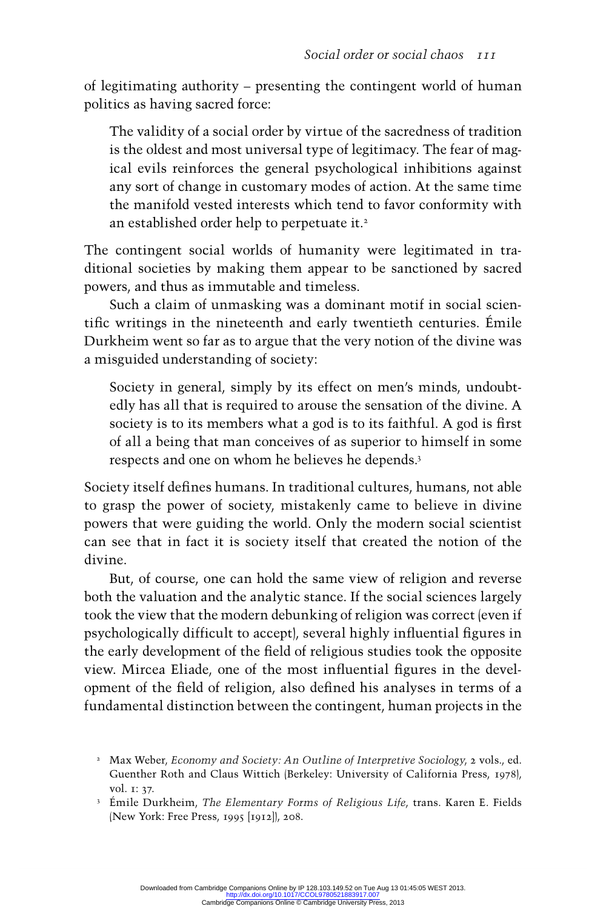of legitimating authority– presenting the contingent world of human politics as having sacred force:

The validity of a social order by virtue of the sacredness of tradition is the oldest and most universal type of legitimacy. The fear of magical evils reinforces the general psychological inhibitions against any sort of change in customary modes of action. At the same time the manifold vested interests which tend to favor conformity with an established order help to perpetuate it.<sup>2</sup>

The contingent social worlds of humanity were legitimated in traditional societies by making them appear to be sanctioned by sacred powers, and thus as immutable and timeless.

Such a claim of unmasking was a dominant motif in social scientific writings in the nineteenth and early twentieth centuries. Émile Durkheim went so far as to argue that the very notion of the divine was a misguided understanding of society:

Society in general, simply by its effect on men's minds, undoubtedly has all that is required to arouse the sensation of the divine. A society is to its members what a god is to its faithful. A god is first of all a being that man conceives of as superior to himself in some respects and one on whom he believes he depends.<sup>3</sup>

Society itself defines humans. In traditional cultures, humans, not able to grasp the power of society, mistakenly came to believe in divine powers that were guiding the world. Only the modern social scientist can see that in fact it is society itself that created the notion of the divine.

But, of course, one can hold the same view of religion and reverse both the valuation and the analytic stance. If the social sciences largely took the view that the modern debunking of religion was correct (even if psychologically difficult to accept), several highly influential figures in the early development of the field of religious studies took the opposite view. Mircea Eliade, one of the most influential figures in the development of the field of religion, also defined his analyses in terms of a fundamental distinction between the contingent, human projects in the

<sup>&</sup>lt;sup>2</sup> Max Weber, *Economy and Society: An Outline of Interpretive Sociology*, 2 vols., ed. Guenther Roth and Claus Wittich (Berkeley: University of California Press, 1978), vol. 1: 37.

<sup>&</sup>lt;sup>3</sup> Émile Durkheim, *The Elementary Forms of Religious Life*, trans. Karen E. Fields (New York: Free Press, 1995[1912]), 208.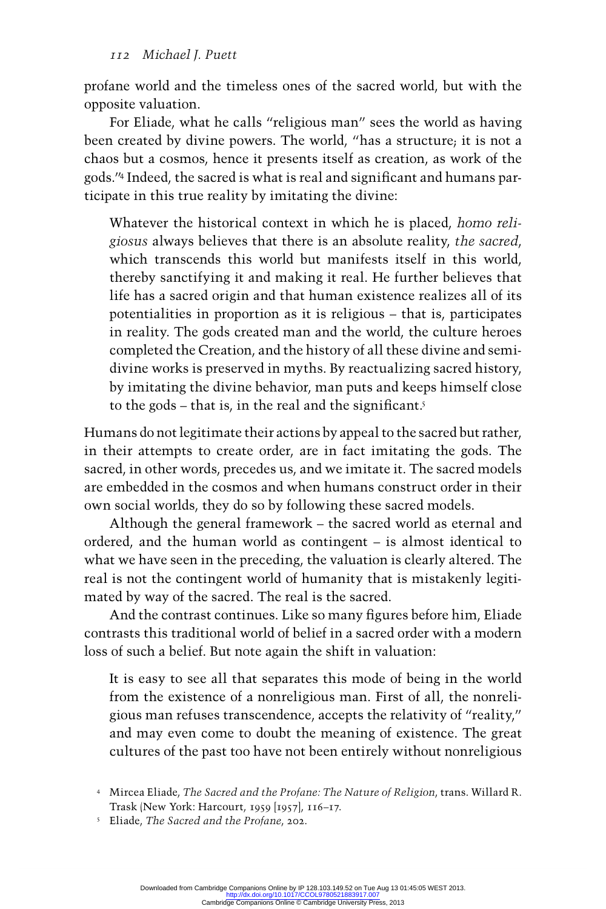profane world and the timeless ones of the sacredworld, but with the opposite valuation.

For Eliade, what he calls "religious man" sees the world as having been created by divine powers. The world, "has a structure; it is not a chaos but a cosmos, hence it presents itself as creation, as work of the gods." Indeed, the sacred is what is real and significant and humans participate in this true reality by imitating the divine:

Whatever the historical context in which he is placed, *homo religiosus* always believes that there is an absolute reality, *the sacred* , which transcends this world but manifests itself in this world, thereby sanctifying it and making it real. He further believes that life has a sacred origin and that human existence realizes all of its potentialities in proportion as it is religious – that is, participates in reality. The gods created man and the world, the culture heroes completed the Creation, and the history of all these divine and semidivine works is preserved in myths. By reactualizing sacred history, by imitating the divine behavior, man puts and keeps himself close to the gods – that is, in the real and the significant.<sup>5</sup>

Humans do not legitimate their actions by appeal to the sacred but rather, in their attempts to create order, are in fact imitating the gods. The sacred, in other words, precedes us, and we imitate it. The sacred models are embedded in the cosmos and when humans construct order in their own social worlds, they do so by following these sacred models.

Although the general framework – the sacred world as eternal and ordered, and the human world as contingent – is almost identical to what we have seen in the preceding, the valuation is clearly altered. The real is not the contingent world of humanity that is mistakenly legitimated by way of the sacred. The real is the sacred.

And the contrast continues. Like so many figures before him, Eliade contrasts this traditional world of belief in a sacred order with a modern loss of such a belief. But note again the shift in valuation:

It is easy to see all that separates this mode of being in the world from the existence of a nonreligious man. First of all, the nonreligious man refuses transcendence , accepts the relativity of "reality," and may even come to doubt the meaning of existence. The great cultures of the past too have not been entirely without nonreligious

 4 Mircea Eliade, *The Sacred and the Profane: The Nature of Religion*, trans. Willard R. Trask (New York: Harcourt, 1959 [1957], 116–17.

5 Eliade, *The Sacred and the Profane*, 202.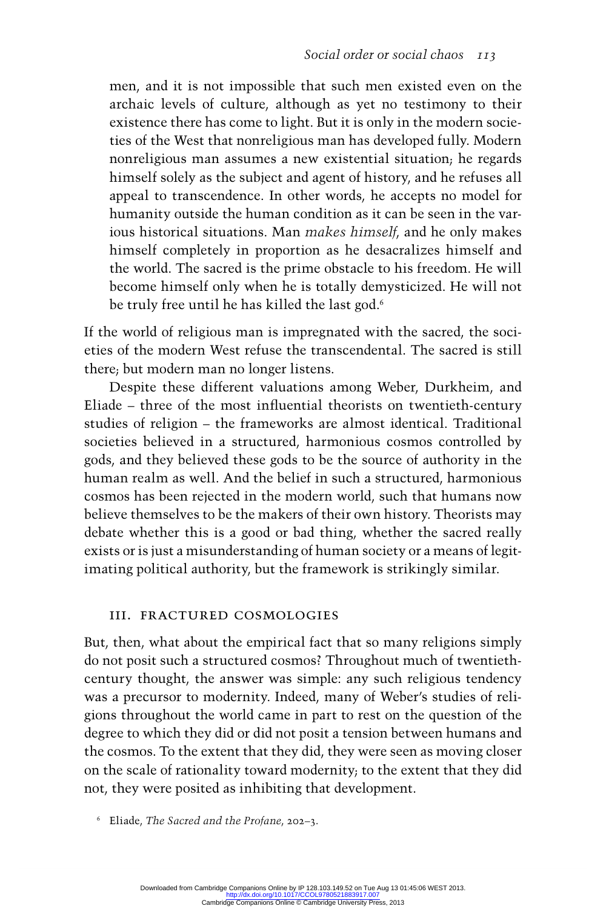men, and it is not impossible that such men existed even on the archaic levels of culture, although as yet no testimony to their ex istence there has come to light. But it is only in the modern societies of the West that nonreligious man has developed fully. Modern nonreligious man assumes a new existential situation; he regards himself solely as the subject and agent of history, and he refuses all appeal to transcendence . In other words, he accepts no model for humanity outside the human condition as it can be seen in the various historical situations. Man *makes himself*, and he only makes himself completely in proportion as he desacralizes himself and the world. The sacred is the prime obstacle to his freedom. He will become himself only when he is totally demysticized. He will not be truly free until he has killed the last god.<sup>6</sup>

If the world of religious man is impregnated with the sacred, the soci-eties of the modern West refuse the transcendental . The sacred is still there; but modern man no longer listens.

Despite these different valuations among Weber, Durkheim, and Eliade – three of the most influential theorists on twentieth-century studies of religion – the frameworks are almost identical. Traditional societies believed in a structured, harmonious cosmos controlled by gods, and they believed these gods to be the source of authorityin the human realm as well. And the belief in such a structured, harmonious cosmos has been rejected in the modern world, such that humans now believe themselves to be the makers of their own history. Theorists may debate whether this is a good or bad thing, whether the sacred really exists or is just a misunderstanding of human society or a means of legitimating political authority, but the framework is strikingly similar.

# III. Fractured Cosmologies

But, then, what about the empirical fact that so many religions simply do not posit such a structured cosmos? Throughout much of twentiethcentury thought, the answer was simple: any such religious tendency was a precursor to modernity. Indeed, many of Weber's studies of religions throughout the world came in part to rest on the question of the degree to which they did or did not posit a tension between humans and the cosmos. To the extent that they did, they were seen as moving closer on the scale of rationality toward modernity; to the extent that they did not, they were posited as inhibiting that development.

6 Eliade, *The Sacred and the Profane*, 202–3.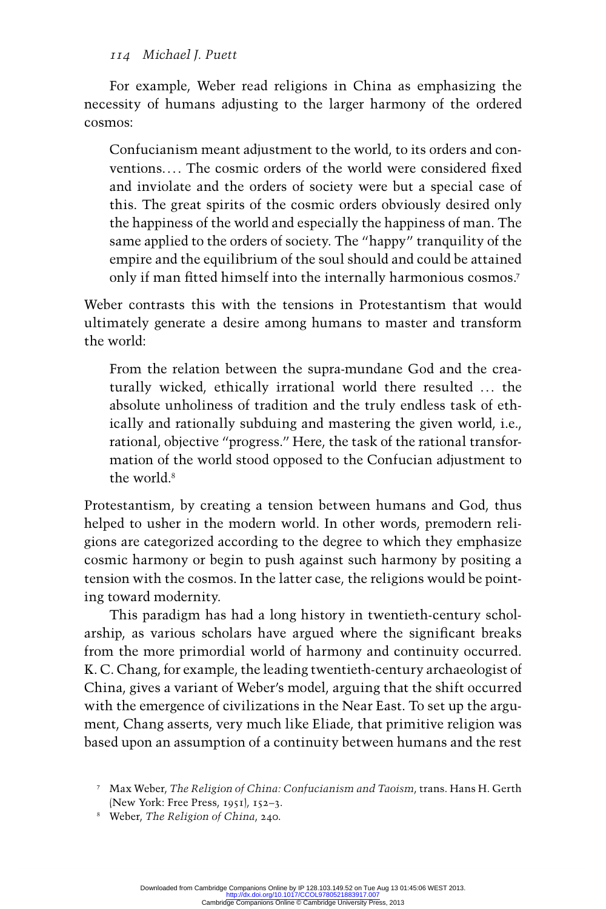For example, Weber read religions in China as emphasizing the necessity of humans adjusting to the larger harmony of the ordered cosmos:

Confucianism meant adjustment to the world, to its orders and conventions. . . The cosmic orders of the world were considered fixed and inviolate and the orders of society were but a special case of this. The great spirits of the cosmic orders obviously desired only the happiness of the world and especially the happiness of man. The same applied to the orders of society. The "happy" tranquility of the empire and the equilibrium of the soul should and could be attained only if man fitted himself into the internally harmonious cosmos.<sup>7</sup>

Weber contrasts this with the tensions in Protestantism that would ultimately generate a desire among humans to master and transform the world:

From the relation between the supra-mundane God and the creaturally wicked, ethically irrational world there resulted ... the absolute unholiness of tradition and the truly endless task of ethically and rationally subduing and mastering the given world, i.e., rational, objective "progress." Here, the task of the rational transformation of the world stood opposed to the Confucian adjustment to the world<sup>8</sup>

Protestantism, by creating a tension between humans and God, thus helped to usher in the modern world. In other words, premodern religions are categorized according to the degree to which they emphasize cosmic harmony or begin to push against such harmony by positing a tension with the cosmos. In the latter case, the religions would be pointing toward modernity.

This paradigm has had a long history in twentieth-century scholarship, as various scholars have argued where the significant breaks from the more primordial world of harmony and continuity occurred. K. C. Chang, for example, the leading twentieth-century archaeologist of China, gives a variant of Weber 's model, arguing that the shift occurred with the emergence of civilizations in the Near East. To set up the argument, Chang asserts, very much like Eliade, that primitive religion was based upon an assumption of a continuity between humans and the rest

 <sup>7</sup> Max Weber, *The Religion of China: Confucianism and Taoism*, trans. Hans H. Gerth (New York: Free Press, 1951), 152–3.

 <sup>8</sup> Weber, *The Religion of China*, 240.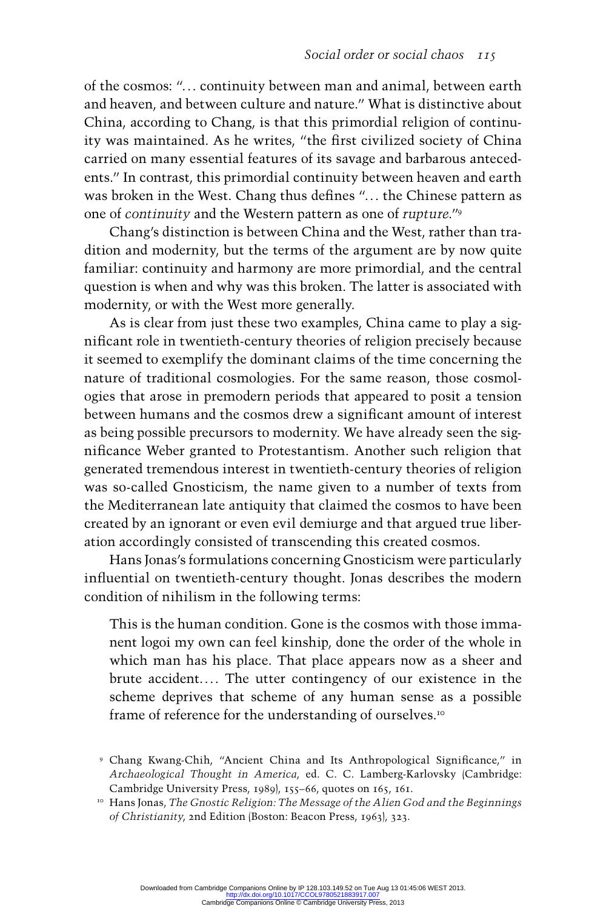of the cosmos: "... continuity between man and animal, between earth and heaven, and between culture and nature." What is distinctive about China, according to Chang, is that this primordial religion of continuity was maintained. As he writes, "the first civilized society of China carried on many essential features of its savage and barbarous antecedents." In contrast, this primordial continuity between heaven and earth was broken in the West. Chang thus defines "... the Chinese pattern as one of *continuity* and the Western pattern as one of *rupture*."<sup>9</sup>

Chang's distinction is between China and the West, rather than tradition and modernity, but the terms of the argument are by now quite familiar: continuity and harmony are more primordial, and the central question is when and why was this broken. The latter is associated with modernity, or with the West more generally.

As is clear from just these two examples, China came to play a significant role in twentieth-century theories of religion precisely because it seemed to exemplify the dominant claims of the time concerning the nature of traditional cosmologies. For the same reason, those cosmologies that arose in premodern periods that appeared to posit a tension between humans and the cosmos drew a significant amount of interest as being possible precursors to modernity . We have already seen the significance Weber granted to Protestantism. Another such religion that generated tremendous interest in twentieth-century theories of religion was so-called Gnosticism, the name given to a number of texts from the Mediterranean late antiquity that claimed the cosmos to have been created by an ignorant or even evil demiurge and that argued true liberation accordingly consisted of transcending this created cosmos.

Hans Jonas's formulations concerning Gnosticism were particularly influential on twentieth-century thought. Jonas describes the modern condition of nihilism in the following terms:

This is the human condition. Gone is the cosmos with those immanent logoi my own can feel kinship, done the order of the whole in which man has his place. That place appears now as a sheer and brute accident.... The utter contingency of our existence in the scheme deprives that scheme of any human sense as a possible frame of reference for the understanding of ourselves.<sup>10</sup>

<sup>&</sup>lt;sup>9</sup> Chang Kwang-Chih, "Ancient China and Its Anthropological Significance," in *Archaeological Thought in America*, ed. C. C. Lamberg-Karlovsky (Cambridge: Cambridge University Press, 1989), 155–66, quotes on 165, 161.

 <sup>10</sup> Hans Jonas, *The Gnostic Religion: The Message of the Alien God and the Beginnings of Christianity*, 2nd Edition (Boston: Beacon Press, 1963), 323.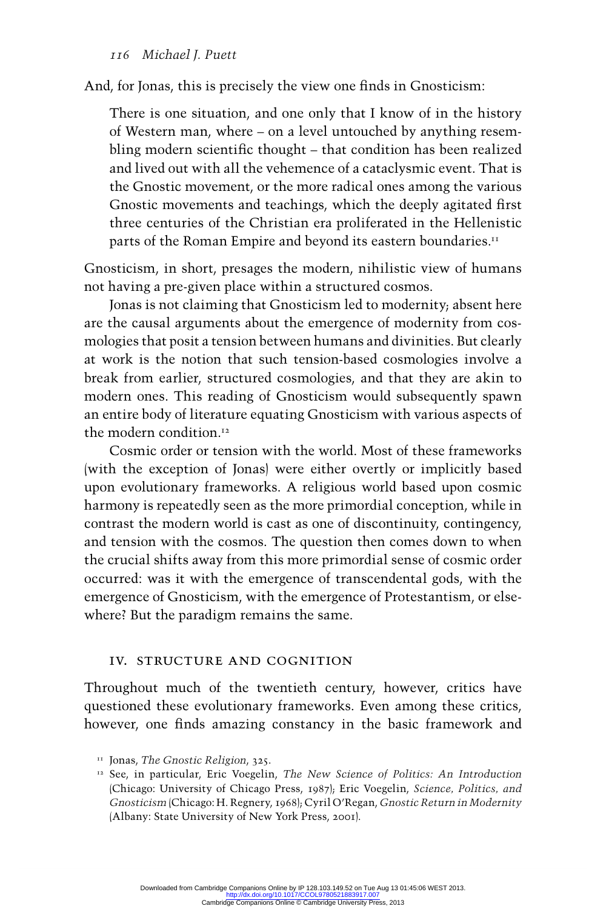And, for Jonas, this is precisely the view one finds in Gnosticism:

There is one situation, and one only that I know of in the history of Western man, where – on a level untouched by anything resembling modern scientific thought – that condition has been realized and lived out with all the vehemence of a cataclysmic event. That is the Gnostic movement, or the more radical ones among the various Gnostic movements and teachings, which the deeply agitated first three centuries of the Christian era proliferated in the Hellenistic parts of the Roman Empire and beyond its eastern boundaries.<sup>11</sup>

Gnosticism, in short, presages the modern, nihilistic view of humans not having a pre-given place within a structured cosmos.

Jonas is not claiming that Gnosticism led to modernity; absent here are the causal arguments about the emergence of modernity from cosmologies that posit a tension between humans and divinities. But clearly at work is the notion that such tension-based cosmologies involve a break from earlier, structured cosmologies, and that they are akin to modern ones. This reading of Gnosticism would subsequently spawn an entire body of literature equating Gnosticism with various aspects of the modern condition.<sup>12</sup>

Cosmic order or tension with the world. Most of these frameworks (with the exception of Jonas) were either overtly or implicitly based upon evolutionary frameworks. A religious world based upon cosmic harmony is repeatedly seen as the more primordial conception, while in contrast the modern world is cast as one of discontinuity, contingency, and tension with the cosmos. The question then comes down to when the crucial shifts away from this more primordial sense of cosmic order occurred: was it with the emergence of transcendental gods, with the emergence of Gnosticism, with the emergence of Protestantism, or elsewhere? But the paradigm remains the same.

#### IV. Structure and Cognition

Throughout much of the twentieth century, however, critics have questioned these evolutionary frameworks. Even among these critics, however, one finds amazing constancy in the basic framework and

 <sup>11</sup> Jonas, *The Gnostic Religion*, 325.

 <sup>12</sup> See, in particular, Eric Voegelin, *The New Science of Politics: An Introduction* (Chicago: University of Chicago Press, 1987); Eric Voegelin, *Science, Politics, and Gnosticism* (Chicago: H. Regnery, 1968); Cyril O'Regan, *Gnostic Return in Modernity* (Albany: State University of New York Press, 2001).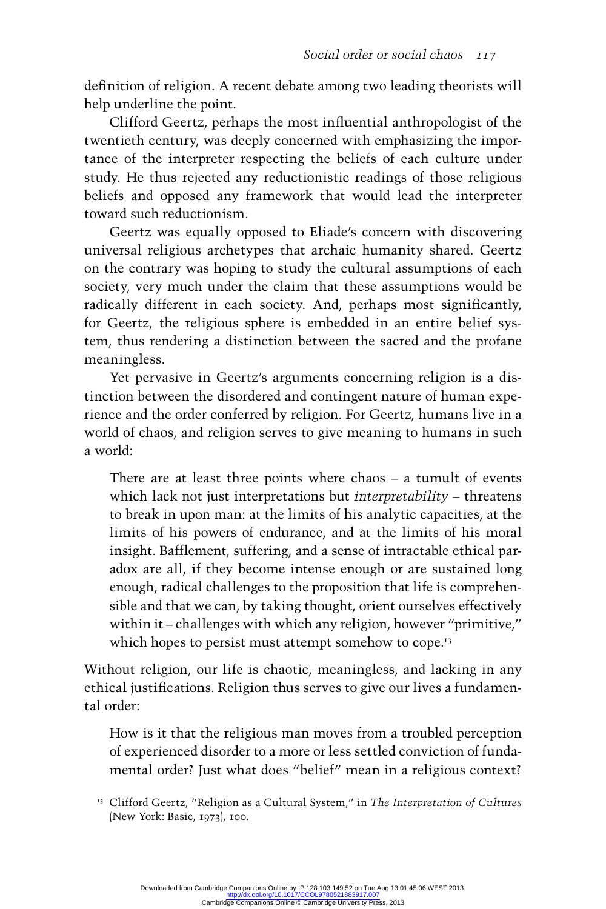definition of religion. A recent debate among two leading theorists will help underline the point.

Clifford Geertz, perhaps the most influential anthropologist of the twentieth century, was deeply concerned with emphasizing the importance of the interpreter respecting the beliefs of each culture under study. He thus rejected any reductionistic readings of those religious beliefs and opposed any framework that would lead the interpreter toward such reductionism.

Geertz was equally opposed to Eliade's concern with discovering universal religious archetypes that archaic humanity shared. Geertz on the contrary was hoping to study the cultural assumptions of each society, very much under the claim that these assumptions would be radically different in each society. And, perhaps most significantly, for Geertz, the religious sphere is embedded in an entire belief system, thus rendering a distinction between the sacredand the profane meaningless.

Yet pervasive in Geertz's arguments concerning religion is a distinction between the disordered and contingent nature of human experience and the order conferred by religion. For Geertz, humans live in a world of chaos, and religion serves to give meaning to humans in such a world:

There are at least three points where chaos – a tumult of events which lack not just interpretations but *interpretability* – threatens to break in upon man: at the limits of his analytic capacities, at the limits of his powers of endurance, and at the limits of his moral insight. Bafflement, suffering, and a sense of intractable ethical paradox are all, if they become intense enough or are sustained long enough, radical challenges to the proposition that life is comprehensible and that we can, by taking thought, orient ourselves effectively within it – challenges with which any religion, however "primitive," which hopes to persist must attempt somehow to cope.<sup>13</sup>

Without religion, our life is chaotic, meaningless, and lacking in any ethical justifications. Religion thus serves to give our lives a fundamental order:

How is it that the religious man moves from a troubled perception of experienced disorder to a more or less settled conviction of fundamental order? Just what does "belief" mean in a religious context?

 <sup>13</sup> Clifford Geertz, "Religion as a Cultural System," in *The Interpretation of Cultures* (New York: Basic, 1973), 100.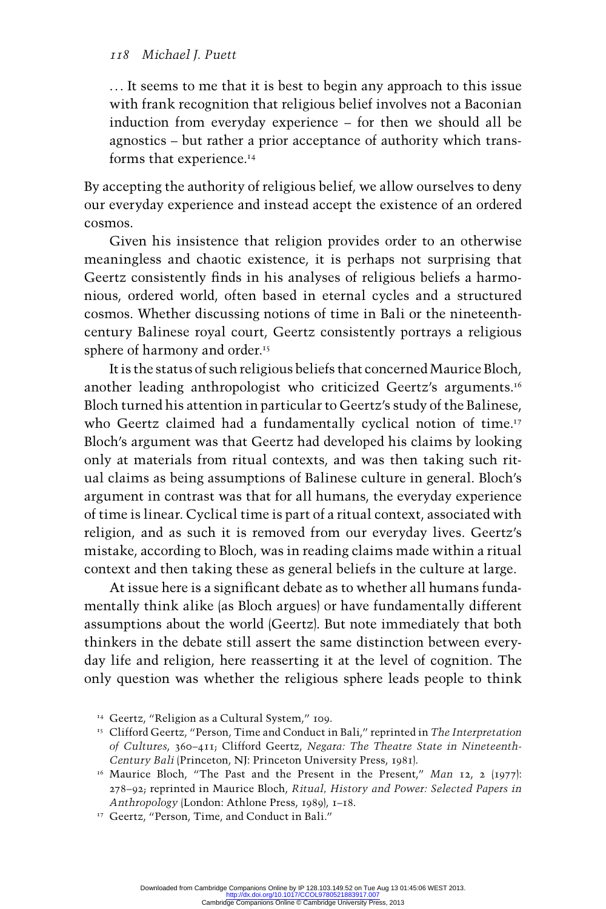. . . It seems to me that it is best to begin any approach to this issue with frank recognition that religious belief involves not a Baconian induction from everyday experience – for then we should all be agnostics – but rather a prior acceptance of authority which transforms that experience.<sup>14</sup>

By accepting the authority of religious belief, we allow ourselves to deny our everyday experience and instead accept the existence of an ordered cosmos.

Given his insistence that religion provides order to an otherwise meaningless and chaotic existence, it is perhaps not surprising that Geertz consistently finds in his analyses of religious beliefs a harmonious, ordered world, often based in eternal cycles and a structured cosmos. Whether discussing notions of time in Bali or the nineteenthcentury Balinese royal court, Geertz consistently portrays a religious sphere of harmony and order.<sup>15</sup>

It is the status of such religious beliefs that concerned Maurice Bloch, another leading anthropologist who criticized Geertz's arguments.<sup>16</sup> Bloch turned his attention in particular to Geertz's study of the Balinese, who Geertz claimed had a fundamentally cyclical notion of time.<sup>17</sup> Bloch's argument was that Geertz had developed his claims by looking only at materials from ritual contexts, and was then taking such ritual claims as being assumptions of Balinese culture in general. Bloch's argument in contrast was that for all humans, the everyday experience of time is linear. Cyclical time is part of a ritual context, associated with religion, and as such it is removed from our everyday lives. Geertz's mistake, according to Bloch, was in reading claims made within a ritual context and then taking these as general beliefs in the culture at large.

At issue here is a significant debate as to whether all humans fundamentally think alike (as Bloch argues) or have fundamentally different assumptions about the world (Geertz). But note immediately that both thinkers in the debate still assert the same distinction between everyday life and religion, here reasserting it at the level of cognition. The only question was whether the religious sphere leads people to think

<sup>&</sup>lt;sup>14</sup> Geertz, "Religion as a Cultural System," 109.

 <sup>15</sup> Clifford Geertz, "Person, Time and Conduct in Bali," reprinted in *The Interpretation of Cultures*, 360–411; Clifford Geertz, *Negara: The Theatre State in Nineteenth-Century Bali* (Princeton, NJ: Princeton University Press, 1981 ).

 <sup>16</sup> Maurice Bloch, "The Past and the Present in the Present," *Man* 12, 2 (1977): 278–92; reprinted in Maurice Bloch, *Ritual, History and Power: Selected Papers in Anthropology* (London: Athlone Press, 1989), 1–18.

 <sup>17</sup> Geertz, "Person, Time, and Conduct in Bali."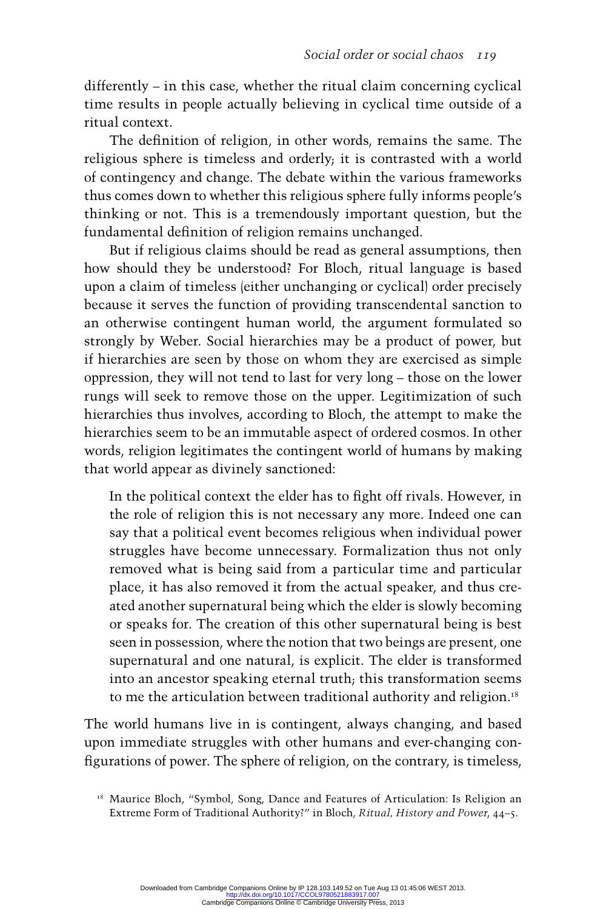differently – in this case, whether the ritual claim concerning cyclical time results in people actually believing in cyclical time outside of a ritual context.

The definition of religion, in other words, remains the same. The religious sphere is timeless and orderly; it is contrasted with a world of contingency and change. The debate within the various frameworks thus comes down to whether this religious sphere fully informs people's thinking or not. This is a tremendously important question, but the fundamental definition of religion remains unchanged.

But if religious claims should be read as general assumptions, then how should they be understood? For Bloch, ritual language is based upon a claim of timeless (either unchanging or cyclical) order precisely because it serves the function of providing transcendental sanction to an otherwise contingent human world, the argument formulated so strongly by Weber. Social hierarchies may be a product of power, but if hierarchies are seen by those on whom they are exercised as simple oppression, they will not tend to last for very long – those on the lower rungs will seek to remove those on the upper. Legitimization of such hierarchies thus involves, according to Bloch, the attempt to make the hierarchies seem to be an immutable aspect of ordered cosmos. In other words, religion legitimates the contingent world of humans by making that world appear as divinely sanctioned:

In the political context the elder has to fight off rivals. However, in the role of religion this is not necessary any more. Indeed one can say that a political event becomes religious when individual power struggles have become unnecessary. Formalization thus not only removed what is being said from a particular time and particular place, it has also removed it from the actual speaker, and thus created another supernatural being which the elder is slowly becoming or speaks for. The creation of this other supernatural being is best seen in possession, where the notion that two beings are present, one supernatural and one natural, is explicit. The elder is transformed into an ancestor speaking eternal truth; this transformation seems to me the articulation between traditional authority and religion.<sup>18</sup>

The world humans live in is contingent, always changing, and based upon immediate struggles with other humans and ever-changing configurations of power. The sphere of religion, on the contrary, is timeless,

 <sup>18</sup> Maurice Bloch, "Symbol, Song, Dance and Features of Articulation: Is Religion an Extreme Form of Traditional Authority?" in Bloch, *Ritual, History and Power*, 44–5.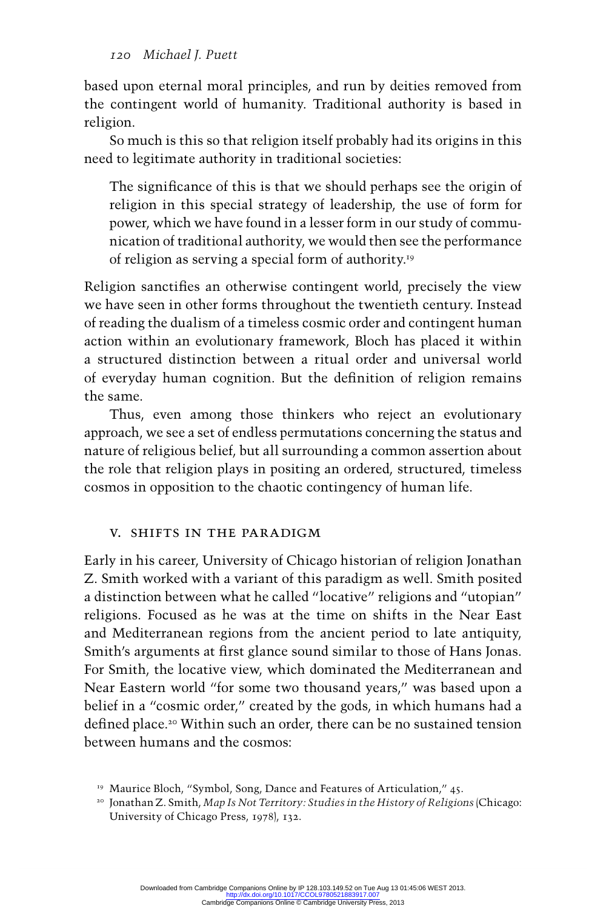based upon eternal moral principles, and run by deities removed from the contingent world of humanity. Traditional authority is based in religion.

So much is this so that religion itself probably had its origins in this need to legitimate authority in traditional societies:

The significance of this is that we should perhaps see the origin of religion in this special strategy of leadership, the use of form for power, which we have found in a lesser form in our study of communication of traditional authority, we would then see the performance of religion as serving a special form of authority. 19

Religion sanctifies an otherwise contingent world, precisely the view we have seen in other forms throughout the twentieth century. Instead of reading the dualism of a timeless cosmic order and contingent human action within an evolutionary framework, Bloch has placed it within a structured distinction between a ritual order and universal world of everyday human cognition. But the definition of religion remains the same.

Thus, even among those thinkers who reject an evolutionary approach, we see a set of endless permutations concerning the status and nature of religious belief, but all surrounding a common assertion about the role that religion plays in positing an ordered, structured, timeless cosmos in opposition to the chaotic contingency of human life.

# V. Shifts in the Paradigm

Early in his career, University of Chicago historian of religion Jonathan Z. Smith worked with a variant of this paradigm as well. Smith posited a distinction between what he called "locative" religions and "utopian" religions. Focused as he was at the time on shifts in the Near East and Mediterranean regions from the ancient period to late antiquity, Smith's arguments at first glance sound similar to those of Hans Jonas. For Smith, the locative view, which dominated the Mediterranean and Near Eastern world "for some two thousand years," was based upon a belief in a "cosmic order," created by the gods, in which humans had a defined place.<sup>20</sup> Within such an order, there can be no sustained tension between humans and the cosmos:

<sup>&</sup>lt;sup>19</sup> Maurice Bloch, "Symbol, Song, Dance and Features of Articulation," 45.

 <sup>20</sup> Jonathan Z. Smith, *Map Is Not Territory: Studies in the History of Religions* (Chicago: University of Chicago Press, 1978), 132.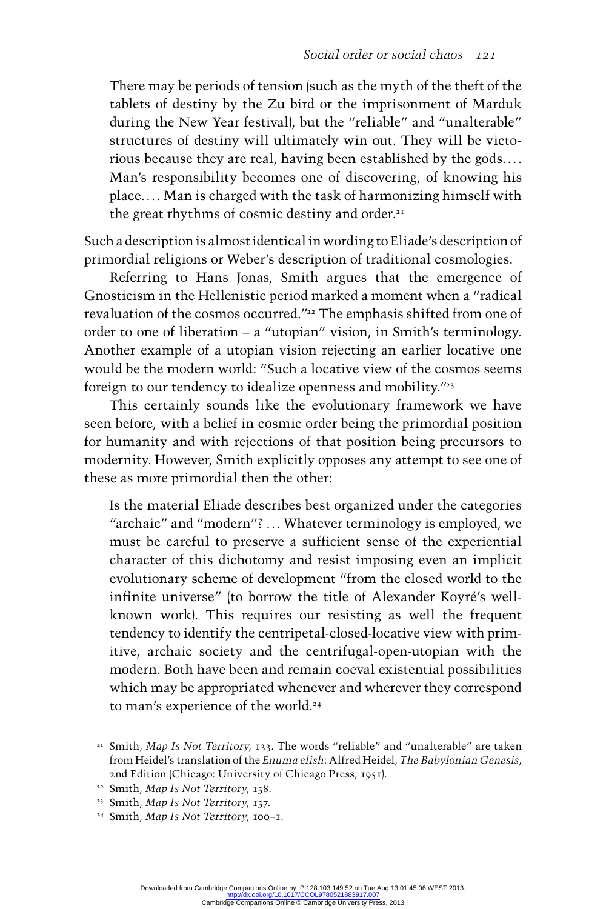There may be periods of tension (such as the myth of the theft of the tablets of destiny by the Zu bird or the imprisonment of Marduk during the New Year festival), but the "reliable" and "unalterable" structures of destiny will ultimately win out. They will be victorious because they are real, having been established by the gods. . . . Man's responsibility becomes one of discovering, of knowing his place. . . . Man is charged with the task of harmonizing himself with the great rhythms of cosmic destiny and order.<sup>21</sup>

Such a description is almost identical in wording to Eliade 's description of primordial religions or Weber's description of traditional cosmologies.

Referring to Hans Jonas, Smith argues that the emergence of Gnosticismin the Hellenistic period marked a moment when a "radical revaluation of the cosmos occurred."<sup>22</sup> The emphasis shifted from one of order to one of liberation – a "utopian" vision, in Smith's terminology. Another example of a utopian vision rejecting an earlier locative one would be the modern world: "Such a locative view of the cosmos seems foreign to our tendency to idealize openness and mobility."<sup>23</sup>

This certainly sounds like the evolutionary framework we have seen before, with a belief in cosmic order being the primordial position for humanity and with rejections of that position being precursors to modernity. However, Smith explicitly opposes any attempt to see one of these as more primordial then the other:

Is the material Eliade describes best organized under the categories "archaic" and "modern"? ... Whatever terminology is employed, we must be careful to preserve a sufficient sense of the experiential character of this dichotomy and resist imposing even an implicit evolutionaryscheme of development "from the closed world to the infinite universe" (to borrow the title of Alexander Koyré's wellknown work). This requires our resisting as well the frequent tendency to identify the centripetal-closed-locative view with primitive, archaic society and the centrifugal-open-utopian with the modern. Both have been and remain coeval existential possibilities which may be appropriated whenever and wherever they correspond to man's experience of the world. 24

- 22 Smith, *Map Is Not Territory*, 138.
- 23 Smith, *Map Is Not Territory*, 137.
- 24 Smith, *Map Is Not Territory*, 100–1.

 <sup>21</sup> Smith, *Map Is Not Territory*, 133. The words "reliable" and "unalterable" are taken from Heidel's translation of the *Enuma elish*: Alfred Heidel, *The Babylonian Genesis* , 2nd Edition (Chicago: University of Chicago Press, 1951).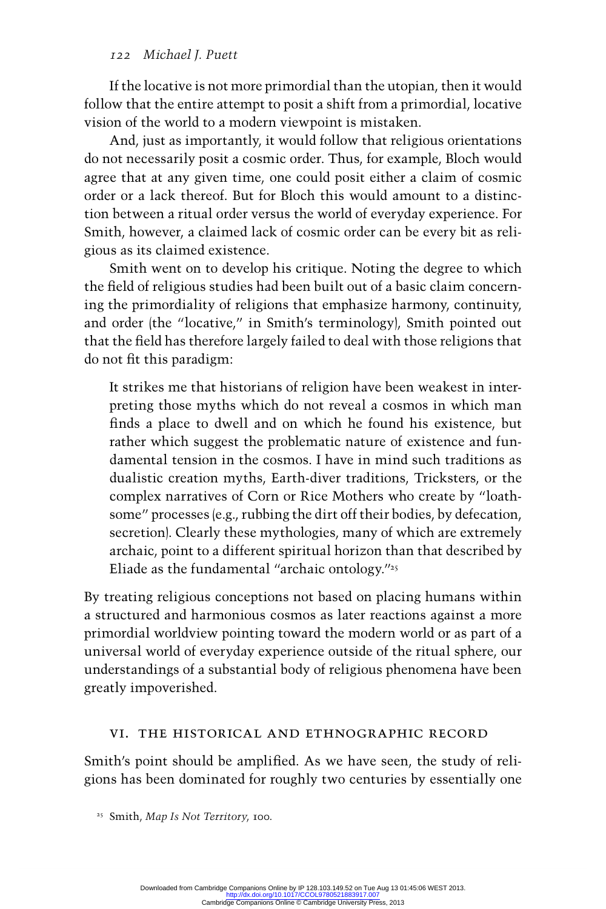If the locative is not more primordial than the utopian, then it would follow that the entire attempt to posit a shift from a primordial, locative vision of the world to a modern viewpoint is mistaken.

And, just as importantly, it would follow that religious orientations do not necessarily posit a cosmic order. Thus, for example, Blochwould agree that at any given time, one could posit either a claim of cosmic order or a lack thereof. But for Bloch this would amount to a distinction between a ritual order versus the world of everyday experience. For Smith, however, a claimed lack of cosmic order can be every bit as religious as its claimed existence.

Smith went on to develop his critique. Noting the degree to which the field of religious studies had been built out of a basic claim concerning the primordiality of religions that emphasize harmony, continuity, and order (the "locative," in Smith's terminology), Smith pointed out that the field has therefore largely failed to deal with those religions that do not fit this paradigm:

It strikes me that historians of religion have been weakest in interpreting those myths which do not reveal a cosmos in which man finds a place to dwell and on which he found his existence, but rather which suggest the problematic nature of existence and fundamental tension in the cosmos. I have in mind such traditions as dualistic creation myths, Earth-diver traditions, Tricksters, or the complex narratives of Corn or Rice Mothers who create by "loathsome" processes (e.g., rubbing the dirt off their bodies, by defecation, secretion). Clearly these mythologies, many of which are extremely archaic, point to a different spiritual horizon than that described by Eliade as the fundamental "archaic ontology." $25$ 

By treating religious conceptions not based on placing humans within a structured and harmonious cosmos as later reactions against a more primordial worldview pointing toward the modern world or as part of a universal world of everyday experience outside of the ritual sphere, our understandings of a substantial body of religious phenomena have been greatly impoverished.

# VI. The Historical and Ethnographic Record

Smith's point should be amplified. As we have seen, the study of religions has been dominated for roughly two centuries by essentially one

 <sup>25</sup> Smith, *Map Is Not Territory*, 100.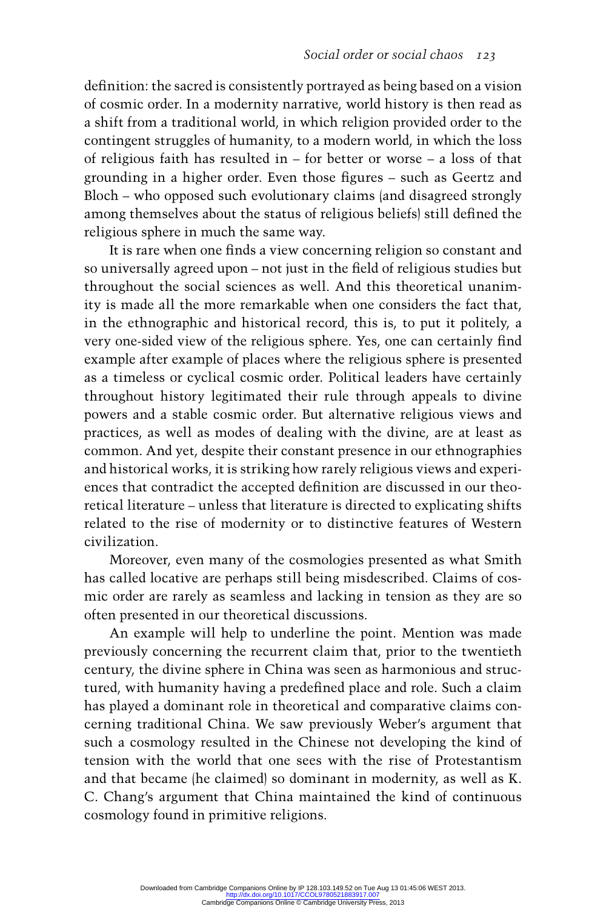definition: the sacred is consistently portrayed as being based on a vision of cosmic order. In a modernity narrative, world history is then read as a shift from a traditional world, in which religion provided order to the contingent struggles of humanity, to a modern world, in which the loss of religious faith has resulted in – for better or worse – a loss of that grounding in a higher order. Even those figures – such as Geertz and Bloch– who opposed such evolutionary claims (and disagreed strongly among themselves about the status of religious beliefs) still defined the religious sphere in much the same way.

It is rare when one finds a view concerning religion so constant and so universally agreed upon – not just in the field of religious studies but throughout the social sciences as well. And this theoretical unanimity is made all the more remarkable when one considers the fact that, in the ethnographic and historical record, this is, to put it politely, a very one-sided view of the religious sphere. Yes, one can certainly find example after example of places where the religious sphere is presented as a timeless or cyclical cosmic order. Political leaders have certainly throughout history legitimated their rule through appeals to divine powers and a stable cosmic order. But alternative religious views and practices, as well as modes of dealing with the divine, are at least as common. And yet, despite their constant presence in our ethnographies and historical works, it is striking how rarely religious views and experiences that contradict the accepted definition are discussed in our theoretical literature – unless that literature is directed to explicating shifts related to the rise of modernity or to distinctive features of Western civilization.

Moreover, even many of the cosmologies presented as what Smith has called locative are perhaps still being misdescribed. Claims of cosmic order are rarely as seamless and lacking in tension as they are so often presented in our theoretical discussions.

An example will help to underline the point. Mention was made previously concerning the recurrent claim that, prior to the twentieth century, the divine sphere in China was seen as harmonious and structured, with humanity having a predefined place and role. Such a claim has played a dominant role in theoretical and comparative claims concerning traditional China. We saw previously Weber's argument that such a cosmology resulted in the Chinese not developing the kind of tension with the world that one sees with the rise of Protestantism and that became (he claimed) so dominant in modernity, as well as K. C. Chang's argument that China maintained the kind of continuous cosmology found in primitive religions.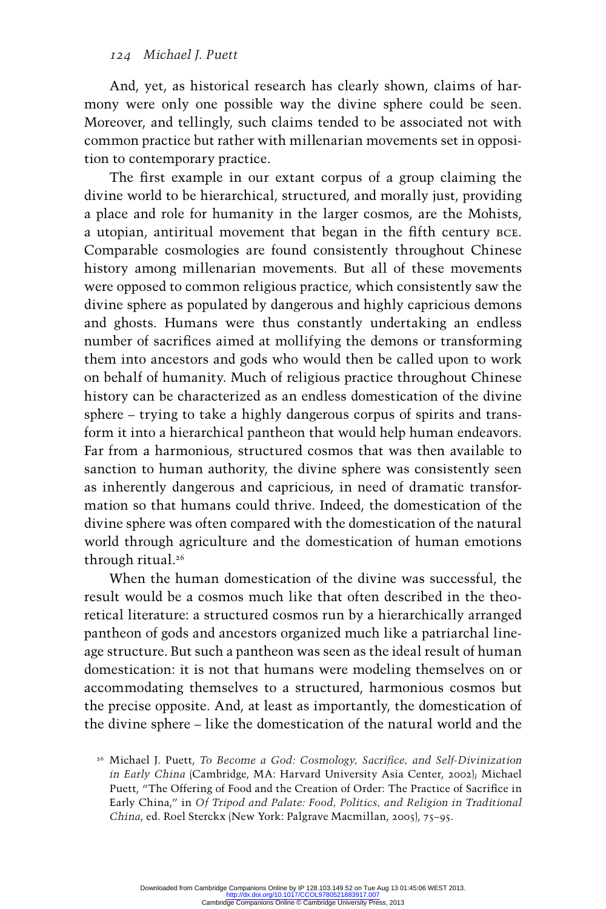And, yet, as historical research has clearly shown, claims of harmony were only one possible way the divine sphere could be seen. Moreover, and tellingly, such claims tended to be associated not with common practice but rather with millenarian movements set in opposition to contemporary practice.

The first example in our extant corpus of a group claiming the divine world to be hierarchical, structured, and morally just, providing a place and role for humanity in the larger cosmos, are the Mohists, a utopian, antiritual movement that began in the fifth century BCE. Comparable cosmologies are found consistently throughout Chinese history among millenarian movements. But all of these movements were opposed to common religious practice, which consistently saw the divine sphere as populated by dangerous and highly capricious demons and ghosts. Humans were thus constantly undertaking an endless number of sacrifices aimed at mollifying the demons or transforming them into ancestors and gods who would then be called upon to work on behalf of humanity. Much of religious practice throughout Chinese history can be characterized as an endless domestication of the divine sphere – trying to take a highly dangerous corpus of spirits and transform it into a hierarchical pantheon that would help human endeavors. Far from a harmonious, structured cosmos that was then available to sanction to human authority, the divine sphere was consistently seen as inherently dangerous and capricious, in need of dramatic transformation so that humans could thrive. Indeed, the domestication of the divine sphere was often compared with the domestication of the natural world through agriculture and the domestication of human emotions through ritual.<sup>26</sup>

When the human domestication of the divine was successful, the result would be a cosmos much like that often described in the theoretical literature: a structured cosmos run by a hierarchically arranged pantheon of gods and ancestors organized much like a patriarchal lineage structure. But such a pantheon was seen as the ideal result of human domestication: it is not that humans were modeling themselves on or accommodating themselves to a structured, harmonious cosmos but the precise opposite. And, at least as importantly, the domestication of the divine sphere – like the domestication of the natural world and the

<sup>&</sup>lt;sup>26</sup> Michael J. Puett, *To Become a God: Cosmology, Sacrifice, and Self-Divinization in Early China* (Cambridge, MA: Harvard University Asia Center, 2002); Michael Puett, "The Offering of Food and the Creation of Order: The Practice of Sacrifice in Early China," in *Of Tripod and Palate: Food, Politics, and Religion in Traditional China*, ed. Roel Sterckx (New York: Palgrave Macmillan, 2005), 75–95.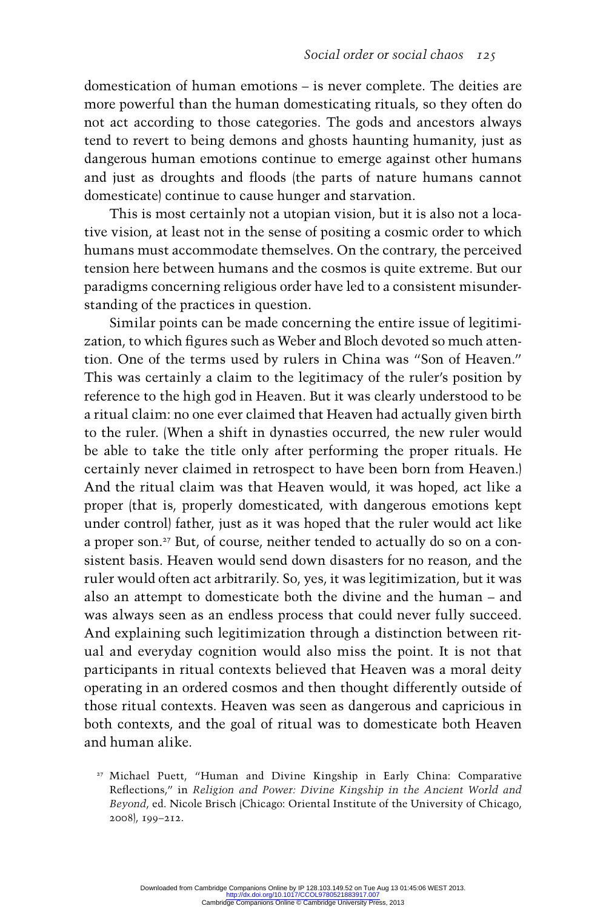domestication of human emotions– is never complete. The deities are more powerful than the human domesticating rituals, so they often do not act according to those categories. The gods and ancestors always tend to revert to being demons and ghosts haunting humanity, just as dangerous human emotions continue to emerge against other humans and just as droughts and floods (the parts of nature humans cannot domesticate) continue to cause hunger and starvation.

This is most certainly not a utopian vision, but it is also not a locative vision, at least not in the sense of positing a cosmic order to which humans must accommodate themselves. On the contrary, the perceived tension here between humans and the cosmos is quite extreme. But our paradigms concerning religious order have led to a consistent misunderstanding of the practices in question.

Similar points can be made concerning the entire issue of legitimization, to which figures such as Weber and Bloch devoted so much attention. One of the terms used by rulers in China was "Son of Heaven." This was certainly a claim to the legitimacy of the ruler's position by reference to the high god in Heaven. But it was clearly understood to be a ritual claim: no one ever claimed that Heaven had actually given birth to the ruler. (When a shift in dynasties occurred, the new ruler would be able to take the title only after performing the proper rituals. He certainly never claimed in retrospect to have been born from Heaven.) And the ritual claim was that Heaven would, it was hoped, act like a proper (that is, properly domesticated, with dangerous emotionskept under control) father, just as it was hoped that the ruler would act like a proper son.<sup>27</sup> But, of course, neither tended to actually do so on a consistent basis. Heaven would send down disasters for no reason, and the ruler would often act arbitrarily. So, yes, it was legitimization, but it was also an attempt to domesticate both the divine and the human – and was always seen as an endless process that could never fully succeed. And explaining such legitimization through a distinction between ritual and everyday cognition would also miss the point. It is not that participants in ritual contexts believed that Heaven was a moral deity operating in an ordered cosmos and then thought differently outside of those ritual contexts. Heaven was seen as dangerous and capricious in both contexts, and the goal of ritual was to domesticate both Heaven and human alike.

 <sup>27</sup> Michael Puett, "Human and Divine Kingship in Early China: Comparative Reflections," in *Religion and Power: Divine Kingship in the Ancient World and Beyond*, ed. Nicole Brisch (Chicago: Oriental Institute of the University of Chicago, 2008), 199–212.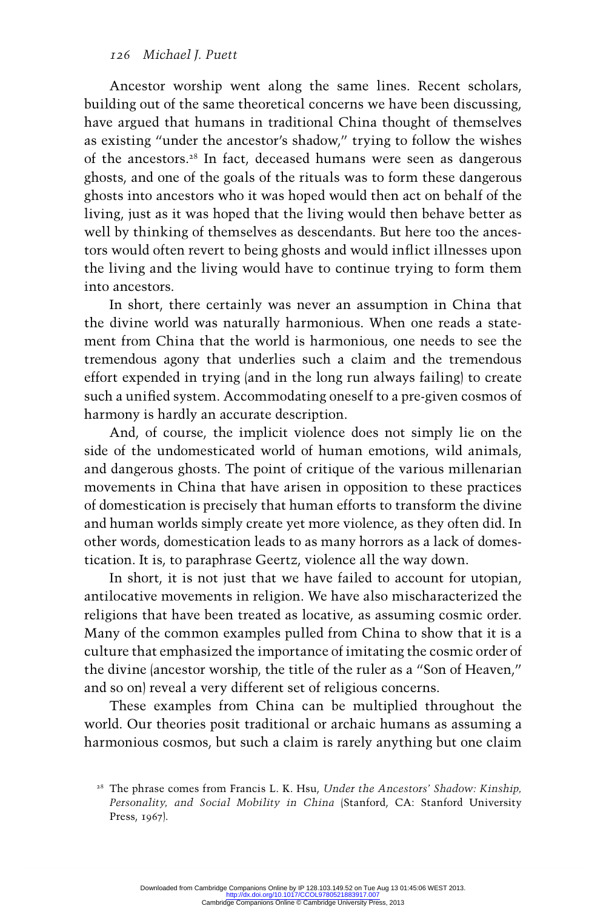Ancestor worship went along the same lines. Recent scholars, building out of the same theoretical concerns we have been discussing, have argued that humans in traditional China thought of themselves as existing "under the ancestor's shadow," trying to follow the wishes of the ancestors.<sup>28</sup> In fact, deceased humans were seen as dangerous ghosts, and one of the goals of the rituals was to form these dangerous ghosts into ancestors who it was hoped would then act on behalf of the living, just as it was hoped that the living would then behave better as well by thinking of themselves as descendants. But here too the ancestors would often revert to being ghosts and would inflict illnesses upon the living and the living would have to continue trying to form them into ancestors.

In short, there certainly was never an assumption in China that the divine world was naturally harmonious. When one reads a statement from China that the world is harmonious, one needs to see the tremendous agony that underlies such a claim and the tremendous effort expended in trying (and in the long run always failing) to create such a unified system. Accommodating oneself to a pre-given cosmos of harmony is hardly an accurate description.

And, of course, the implicit violence does not simply lie on the side of the undomesticated world of human emotions, wild animals, and dangerous ghosts . The point of critique of the various millenarian movements in China that have arisen in opposition to these practices of domestication is precisely that human efforts to transform the divine and human worlds simply create yet more violence, as they often did. In other words, domestication leads to as many horrors as a lack of domestication. It is, to paraphrase Geertz, violence all the way down.

In short, it is not just that we have failed to account for utopian, antilocative movements in religion. We have also mischaracterized the religions that have been treated as locative, as assuming cosmic order. Many of the common examples pulled from China to show that it is a culture that emphasized the importance of imitating the cosmic order of the divine (ancestor worship, the title of the ruler as a "Son of Heaven," and so on) reveal a very different set of religious concerns.

These examples from China can be multiplied throughout the world. Our theories posit traditional or archaic humans as assuming a harmonious cosmos, but such a claim is rarely anything but one claim

 <sup>28</sup> The phrase comes from Francis L. K. Hsu, *Under the Ancestors' Shadow: Kinship, Personality, and Social Mobility in China* (Stanford, CA: Stanford University Press, 1967).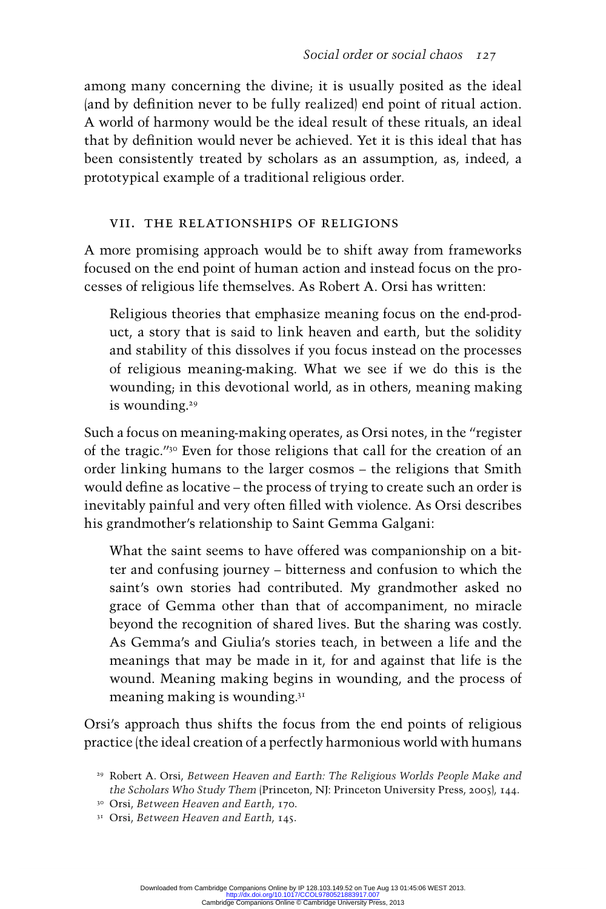among many concerning the divine; it is usually posited as the ideal (and by definition never to be fully realized) end point of ritual action. A world of harmony would be the ideal result of these rituals, an ideal that by definition would never be achieved. Yet it is this ideal that has been consistently treated by scholars as an assumption, as, indeed, a prototypical example of a traditional religious order.

# VII. The Relationships of Religions

A more promising approach would be to shift away from frameworks focused on the end point of human action and instead focus on the processes of religious life themselves. As Robert A. Orsi has written:

Religious theories that emphasize meaning focus on the end-product, a story that is said to link heaven and earth, but the solidity and stability of this dissolves if you focus instead on the processes of religious meaning-making. What we see if we do this is the wounding; in this devotional world, as in others, meaning making is wounding.<sup>29</sup>

Such a focus on meaning-making operates, as Orsinotes, in the "register of the tragic." 30 Even for those religions that call for the creation of an order linking humans to the larger cosmos – the religions that Smith would define as locative – the process of trying to create such an order is inevitably painful and very often filled with violence. As Orsi describes his grandmother's relationship to Saint Gemma Galgani:

What the saint seems to have offered was companionship on a bitter and confusing journey – bitterness and confusion to which the saint's own stories had contributed. My grandmother asked no grace of Gemma other than that of accompaniment, no miracle beyond the recognition of shared lives. But the sharing was costly. As Gemma's and Giulia's stories teach, in between a life and the meanings that may be made in it, for and against that life is the wound. Meaning making begins in wounding, and the process of meaning making is wounding. $3<sup>T</sup>$ 

Orsi's approach thus shifts the focus from the end points of religious practice (the ideal creation of a perfectly harmonious world with humans

 <sup>29</sup> Robert A. Orsi, *Between Heaven and Earth: The Religious Worlds People Make and the Scholars Who Study Them* (Princeton, NJ: Princeton University Press, 2005 ), 144.

 <sup>30</sup> Orsi, *Between Heaven and Earth*, 170.

 <sup>31</sup> Orsi, *Between Heaven and Earth*, 145.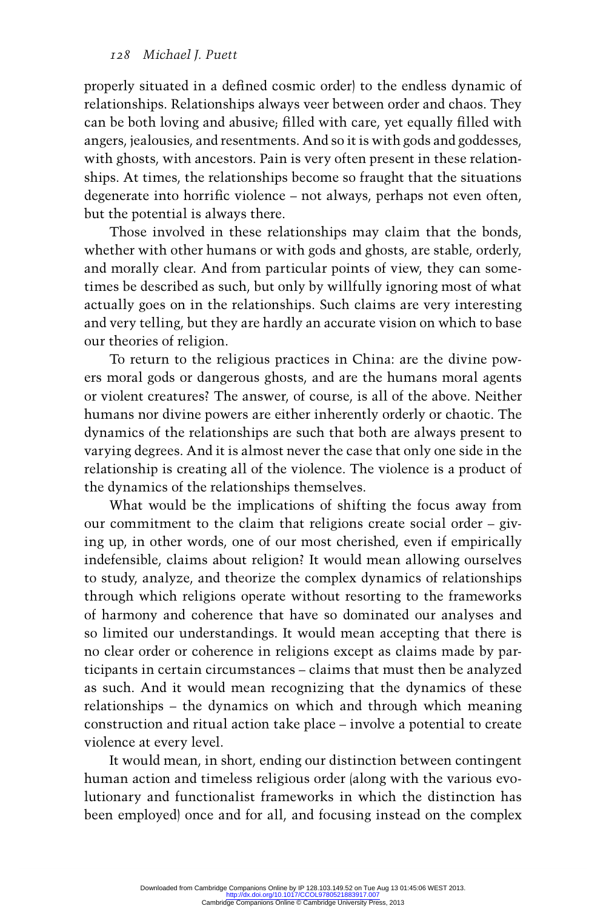properly situated in a defined cosmic order) to the endless dynamic of relationships. Relationships always veer between order and chaos. They can be both loving and abusive; filled with care, yet equally filled with angers, jealousies, and resentments. And so it is with gods and goddesses, with ghosts, with ancestors. Pain is very often present in these relationships. At times, the relationships become so fraught that the situations degenerate into horrific violence – not always, perhaps not even often, but the potential is always there.

Those involved in these relationships may claim that the bonds, whether with other humans or with gods and ghosts, are stable, orderly, and morally clear. And from particular points of view, they can sometimes be described as such, but only by willfully ignoring most of what actually goes on in the relationships. Such claims are very interesting and very telling, but they are hardly an accurate vision on which to base our theories of religion.

To return to the religious practices in China: are the divine powers moral gods or dangerous ghosts, and are the humans moral agents or violent creatures? The answer, of course, is all of the above. Neither humans nor divine powers are either inherently orderly or chaotic. The dynamics of the relationships are such that both are always present to varying degrees. And it is almost never the case that only one side in the relationship is creating all of the violence . The violence is a product of the dynamics of the relationships themselves.

What would be the implications of shifting the focus away from our commitment to the claim that religions create social order – giving up, in other words, one of our most cherished, even if empirically indefensible, claims about religion? It would mean allowing ourselves to study, analyze, and theorize the complex dynamics of relationships through which religions operate without resorting to the frameworks of harmony and coherence that have so dominated our analyses and so limited our understandings. It would mean accepting that there is no clear order or coherence in religions except as claims made by participants in certain circumstances – claims that must then be analyzed as such. And it would mean recognizing that the dynamics of these relationships – the dynamics on which and through which meaning construction and ritual action take place – involve a potential to create violence at every level.

It would mean, in short, ending our distinction between contingent human action and timeless religious order (along with the various evolutionaryand functionalist frameworks in which the distinction has been employed) once and for all, and focusing instead on the complex